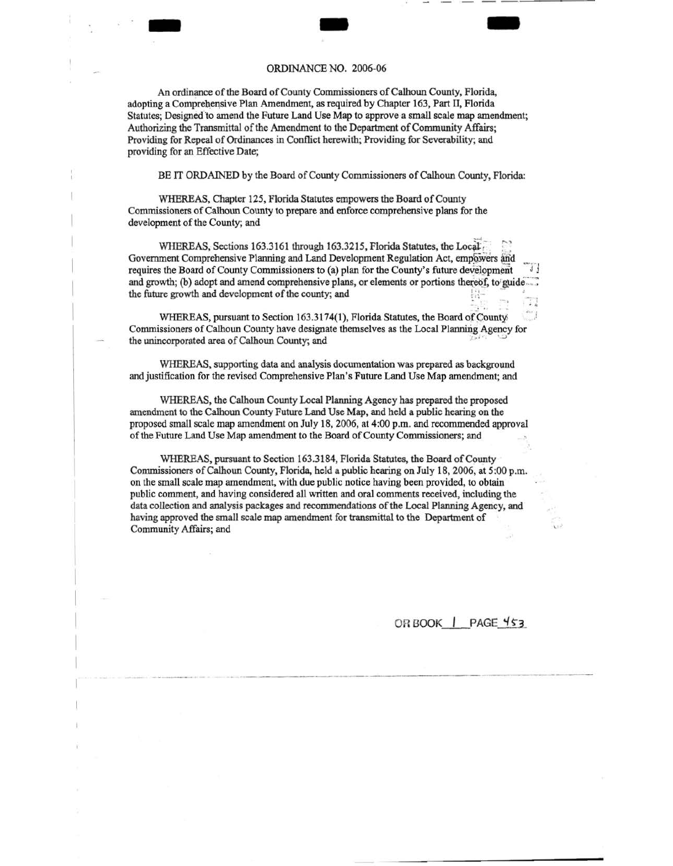### ORDINANCE NO. 2006-06

 $\frac{1}{\frac{1}{2}}$ 

An ordinance of the Board of County Commissioners of Calhoun County, Florida, adopting a Comprehensive Plan Amendment, as required by Chapter 163, Part II, Florida Statutes; Designed to amend the Future Land Use Map to approve a small scale map amendment; Authorizing the Transmittal of the Amendment to the Department of Community Affairs; Providing for Repeal of Ordinances in Conflict herewith; Providing for Severability; and providing for an Effective Date;

BE IT ORDAINED by the Board of County Commissioners of Calhoun County, Florida:

WHEREAS, Chapter 125, Florida Statutes empowers the Board of County Commissioners. of Calhoun County to prepare and enforce comprehensive plans for the development of the County; and

WHEREAS, Sections 163.3161 through 163.3215, Florida Statutes, the Local Government Comprehensive Planning and Land Development Regulation Act, empowers and requires the Board of County Commissioners to (a) plan for the County's future development and growth; (b) adopt and amend comprehensive plans, or elements or portions thereof, to guide. the future growth and development of the county; and

WHEREAS, pursuant to Section 163.3174(1), Florida Statutes, the Board of Countyi Commissioners of Calhoun County have designate themselves as the Local Planning Agency for the unincorporated area of Calhoun County; and

WHEREAS, supporting data and analysis documentation was prepared as background and justification for the revised Comprehensive Plan's Future Land Use Map amendment; and

WHEREAS, the Calhoun County Local Planning Agency has prepared the proposed amendment to the Calhoun County Future Land Use Map, and held a public hearing on the proposed small scale map amendment on July 18, 2006, at 4:00p.m. and recommended approval of the Future Land Use Map amendment to the Board of County Commissioners; and

WHEREAS, pursuant to Section 163.3184, Florida Statutes, the Board of County Commissioners of Calhoun County, Florida, held a public hearing on July 18, 2006, at 5:00 p.m. on the small scale map amendment, with due public notice having been provided, to obtain public comment, and having considered all written and oral comments received, including the data collection and analysis packages and recommendations of the Local Planning Agency, and having approved the small scale map amendment for transmittal to the Department of Community Affairs; and

OR BOOK | PAGE 453

,·

--------------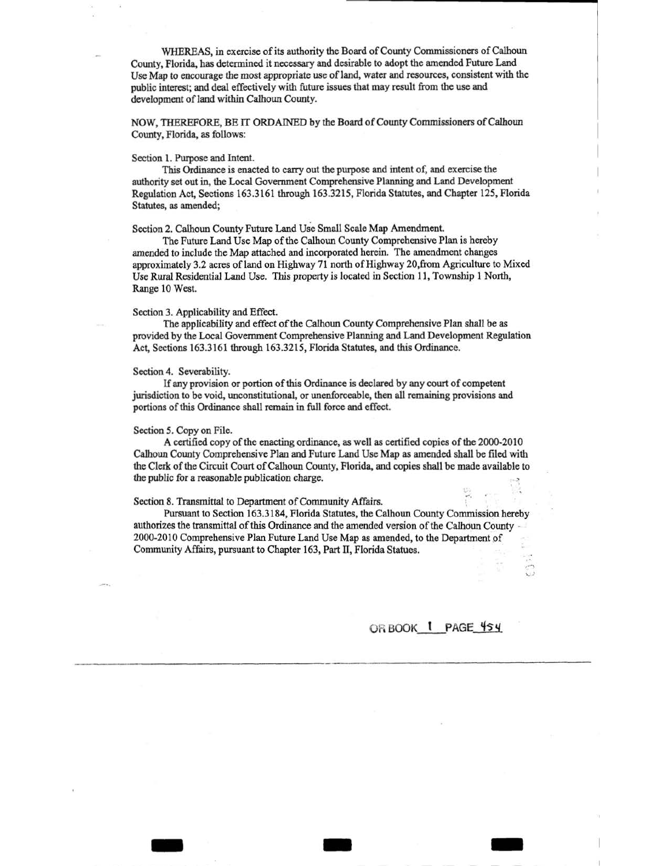WHEREAS, in exercise of its authority the Board of County Commissioners of Calhoun County, Florida, has determined it necessary and desirable to adopt the amended Future Land Use Map to encourage the most appropriate use of land, water and resources, consistent with the public interest; and deal effectively with future issues that may result from the use and development of land within Calhoun County.

NOW, THEREFORE, BE IT ORDAINED by the Board of County Commissioners of Calhoun County, Florida, as follows:

### Section 1. Purpose and Intent.

This Ordinance is enacted to carry out the purpose and intent of, and exercise the authority set out in, the Local Government Comprehensive Planning and Land Development Regulation Act, Sections 163.3161 through 163.3215, Florida Statutes, and Chapter 125, Florida Statutes, as amended;

Section 2. Calhoun County Future Land Use Small Scale Map Amendment.

The Future Land Use Map of the Calhoun County Comprehensive Plan is hereby amended to include the Map attached and incorporated herein. The amendment changes approximately 3.2 acres of land on Highway 71 north of Highway 20, from Agriculture to Mixed Use Rural Residential Land Use. This property is located in Section 11, Township 1 North, Range 10 West.

## Section 3. Applicability and Effect.

The applicability and effect of the Calhoun County Comprehensive Plan shall be as provided by the Local Government Comprehensive Planning and Land Development Regulation Act, Sections 163.3161 through 163.3215, Florida Statutes, and this Ordinance.

# Section 4. Severability.

If any provision or portion of this Ordinance is declared by any court of competent jurisdiction to be void, unconstitutional, or unenforceable, then all remaining provisions and portions of this Ordinance shall remain in full force and effect.

#### Section *5.* Copy on File.

A certified copy of the enacting ordinance, as well as certified copies of the 2000-2010 Calhoun County Comprehensive Plan and Future Land Use Map as amended shall be filed with the Clerk of the Circuit Court of Calhoun County, Florida, and copies shall be made available to the public for a reasonable publication charge.

### Section 8. Transmittal to Department of Community Affairs.

Pursuant to Section 163.3184, Florida Statutes, the Calhoun County Commission hereby authorizes the transmittal of this Ordinance and the amended version of the Calhoun County .. 2000-2010 Comprehensive Plan Future Land Use Map as amended, to the Department of Community Affairs, pursuant to Chapter 163, Part II, Florida Statues.

- - -

# OR BOOK 1 PAGE 454